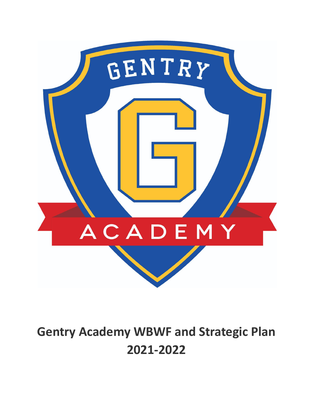

# **Gentry Academy WBWF and Strategic Plan 2021-2022**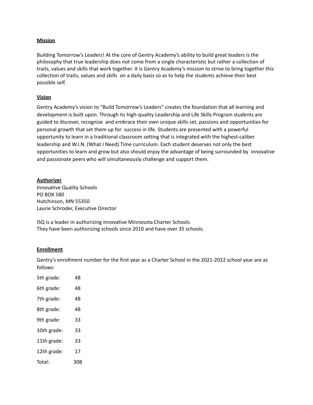#### **Mission**

Building Tomorrow's Leaders! At the core of Gentry Academy's ability to build great leaders is the philosophy that true leadership does not come from a single characteristic but rather a collection of traits, values and skills that work together. It is Gentry Academy's mission to strive to bring together this collection of traits, values and skills on a daily basis so as to help the students achieve their best possible self.

#### **Vision**

Gentry Academy's vision to "Build Tomorrow's Leaders" creates the foundation that all learning and development is built upon. Through its high-quality Leadership and Life Skills Program students are guided to discover, recognize and embrace their own unique skills set, passions and opportunities for personal growth that set them up for success in life. Students are presented with a powerful opportunity to learn in a traditional classroom setting that is integrated with the highest-caliber leadership and W.I.N. (What I Need) Time curriculum. Each student deserves not only the best opportunities to learn and grow but also should enjoy the advantage of being surrounded by innovative and passionate peers who will simultaneously challenge and support them.

#### **Authorizer**

Innovative Quality Schools PO BOX 580 Hutchinson, MN 55350 Laurie Schroder, Executive Director

ISQ is a leader in authorizing innovative Minnesota Charter Schools They have been authorizing schools since 2010 and have over 35 schools.

#### **Enrollment**

Gentry's enrollment number for the first year as a Charter School in the 2021-2022 school year are as follows:

| 5th grade:  | 48  |
|-------------|-----|
| 6th grade:  | 48  |
| 7th grade:  | 48  |
| 8th grade:  | 48  |
| 9th grade:  | 33  |
| 10th grade: | 33  |
| 11th grade: | 33  |
| 12th grade: | 17  |
| Total:      | 308 |
|             |     |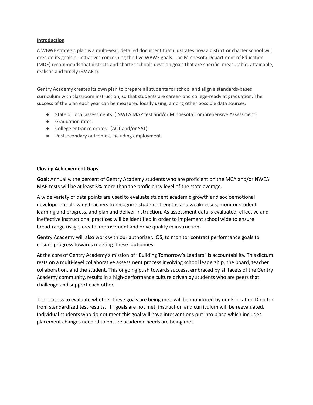#### **Introduction**

A WBWF strategic plan is a multi-year, detailed document that illustrates how a district or charter school will execute its goals or initiatives concerning the five WBWF goals. The Minnesota Department of Education (MDE) recommends that districts and charter schools develop goals that are specific, measurable, attainable, realistic and timely (SMART).

Gentry Academy creates its own plan to prepare all students for school and align a standards-based curriculum with classroom instruction, so that students are career- and college-ready at graduation. The success of the plan each year can be measured locally using, among other possible data sources:

- State or local assessments. ( NWEA MAP test and/or Minnesota Comprehensive Assessment)
- Graduation rates.
- College entrance exams. (ACT and/or SAT)
- Postsecondary outcomes, including employment.

## **Closing Achievement Gaps**

**Goal:** Annually, the percent of Gentry Academy students who are proficient on the MCA and/or NWEA MAP tests will be at least 3% more than the proficiency level of the state average.

A wide variety of data points are used to evaluate student academic growth and socioemotional development allowing teachers to recognize student strengths and weaknesses, monitor student learning and progress, and plan and deliver instruction. As assessment data is evaluated, effective and ineffective instructional practices will be identified in order to implement school wide to ensure broad-range usage, create improvement and drive quality in instruction.

Gentry Academy will also work with our authorizer, IQS, to monitor contract performance goals to ensure progress towards meeting these outcomes.

At the core of Gentry Academy's mission of "Building Tomorrow's Leaders" is accountability. This dictum rests on a multi-level collaborative assessment process involving school leadership, the board, teacher collaboration, and the student. This ongoing push towards success, embraced by all facets of the Gentry Academy community, results in a high-performance culture driven by students who are peers that challenge and support each other.

The process to evaluate whether these goals are being met will be monitored by our Education Director from standardized test results. If goals are not met, instruction and curriculum will be reevaluated. Individual students who do not meet this goal will have interventions put into place which includes placement changes needed to ensure academic needs are being met.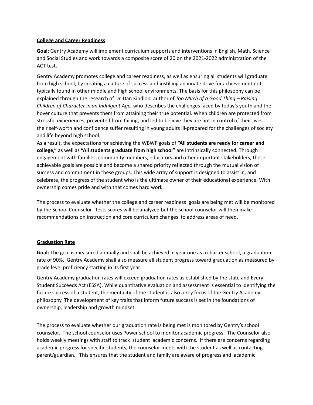#### **College and Career Readiness**

**Goal:** Gentry Academy will implement curriculum supports and interventions in English, Math, Science and Social Studies and work towards a composite score of 20 on the 2021-2022 administration of the ACT test.

Gentry Academy promotes college and career readiness, as well as ensuring all students will graduate from high school, by creating a culture of success and instilling an innate drive for achievement not typically found in other middle and high school environments. The basis for this philosophy can be explained through the research of Dr. Dan Kindlon, author of *Too Much of a Good Thing – Raising Children of Character in an Indulgent Age,* who describes the challenges faced by today's youth and the hover culture that prevents them from attaining their true potential. When children are protected from stressful experiences, prevented from failing, and led to believe they are not in control of their lives, their self-worth and confidence suffer resulting in young adults ill-prepared for the challenges of society and life beyond high school.

As a result, the expectations for achieving the WBWF goals of **"All students are ready for career and college,"** as well as **"All students graduate from high school"** are intrinsically connected. Through engagement with families, community members, educators and other important stakeholders, these achievable goals are possible and become a shared priority reflected through the mutual vision of success and commitment in these groups. This wide array of support is designed to assist in, and celebrate, the progress of the student who is the ultimate owner of their educational experience. With ownership comes pride and with that comes hard work.

The process to evaluate whether the college and career readiness goals are being met will be monitored by the School Counselor. Tests scores will be analyzed but the school counselor will then make recommendations on instruction and core curriculum changes to address areas of need.

## **Graduation Rate**

**Goal:** The goal is measured annually and shall be achieved in year one as a charter school, a graduation rate of 90%. Gentry Academy shall also measure all student progress toward graduation as measured by grade level proficiency starting in its first year.

Gentry Academy graduation rates will exceed graduation rates as established by the state and Every Student Succeeds Act (ESSA). While quantitative evaluation and assessment is essential to identifying the future success of a student, the mentality of the student is also a key focus of the Gentry Academy philosophy. The development of key traits that inform future success is set in the foundations of ownership, leadership and growth mindset.

The process to evaluate whether our graduation rate is being met is monitored by Gentry's school counselor. The school counselor uses Power school to monitor academic progress. The Counselor also holds weekly meetings with staff to track student academic concerns. If there are concerns regarding academic progress for specific students, the counselor meets with the student as well as contacting parent/guardian. This ensures that the student and family are aware of progress and academic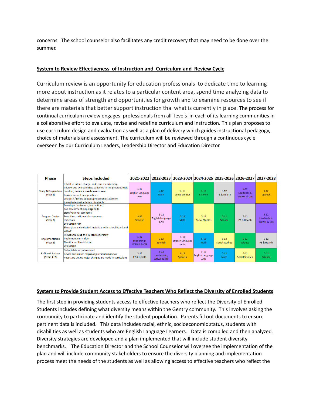concerns. The school counselor also facilitates any credit recovery that may need to be done over the summer.

# **System to Review Effectiveness of Instruction and Curriculum and Review Cycle**

Curriculum review is an opportunity for education professionals to dedicate time to learning more about instruction as it relates to a particular content area, spend time analyzing data to determine areas of strength and opportunities for growth and to examine resources to see if there are materials that better support instruction tha what is currently in place. The process for continual curriculum review engages professionals from all levels in each of its learning communities in a collaborative effort to evaluate, revise and redefine curriculum and instruction. This plan proposes to use curriculum design and evaluation as well as a plan of delivery which guides instructional pedagogy, choice of materials and assessment. The curriculum will be reviewed through a continuous cycle overseen by our Curriculum Leaders, Leadership Director and Education Director.

| <b>Phase</b>                               | <b>Steps Included</b>                                                                                                                                                                                                                                                       |                                                  |                                                  | 2021-2022   2022-2023   2023-2024   2024-2025   2025-2026   2026-2027   2027-2028 |                                      |                            |                                       |                                                  |
|--------------------------------------------|-----------------------------------------------------------------------------------------------------------------------------------------------------------------------------------------------------------------------------------------------------------------------------|--------------------------------------------------|--------------------------------------------------|-----------------------------------------------------------------------------------|--------------------------------------|----------------------------|---------------------------------------|--------------------------------------------------|
| <b>Study &amp; Preparation</b><br>(Year 1) | Establish intent, charge, and team membership<br>Review and evaluate data collected in the previous cycle<br>Conduct, review a needs assessment<br>Review current best practices<br>Establish / refine content philosophy statement<br>Investigate available teaching tools | $5 - 12$<br><b>English Language</b><br>Arts      | $5 - 12$<br>Math                                 | $5-12$<br><b>Social Studies</b>                                                   | $5 - 12$<br>Science                  | $5 - 12$<br>PE & Health    | $5 - 12$<br>Leadership,<br>WBWF & CTF | $9 - 12$<br>Spanish                              |
| <b>Program Design</b><br>(Year 2)          | Develop a curriculum, instruction,<br>and assessment map aligned to<br>state/national standards<br>Select instruction and assessment<br>materials<br><b>Fyaluation Plan</b><br>Share plan and selected materials with school board and<br><b>WBWF</b>                       | $9 - 12$<br>Spanish                              | $5 - 12$<br>English Language<br>Arts             | $5 - 12$<br>Math                                                                  | $5 - 12$<br><b>Social Studies</b>    | $5 - 12$<br>Science        | $5 - 12$<br>PF & Health               | $5 - 12$<br>Leadership,<br><b>WBWF &amp; CTE</b> |
| Implementation<br>(Year 3)                 | Provide training and in-service for staff<br>Implement curriculum<br>Monitor implementation<br>Evaluation                                                                                                                                                                   | $5 - 12$<br>Leadership,<br><b>WBWF &amp; CTE</b> | $9 - 12$<br>Spanish                              | $5 - 12$<br><b>English Language</b><br>Arts                                       | $5 - 12$<br>Math                     | $5 - 12$<br>Social Studies | $5 - 12$<br>Science                   | $5 - 12$<br>PF & Health                          |
| <b>Refine &amp; Sustain</b><br>(Years 4-7) | Collect data as determined<br>Revise curriculum maps (Adjustments made as<br>necessary but no major changes are made in curriculum)                                                                                                                                         | $5 - 12$<br>PF & Health                          | $5 - 12$<br>Leadership.<br><b>WBWF &amp; CTE</b> | $9 - 12$<br><b>Spanish</b>                                                        | $5 - 12$<br>English Language<br>Arts | $5-12$<br>Math             | $5 - 12$<br>Social Studies            | $5 - 12$<br>Science                              |

## **System to Provide Student Access to Effective Teachers Who Reflect the Diversity of Enrolled Students**

The first step in providing students access to effective teachers who reflect the Diversity of Enrolled Students includes defining what diversity means within the Gentry community. This involves asking the community to participate and identify the student population. Parents fill out documents to ensure pertinent data is included. This data includes racial, ethnic, socioeconomic status, students with disabilities as well as students who are English Language Learners. Data is compiled and then analyzed. Diversity strategies are developed and a plan implemented that will include student diversity benchmarks. The Education Director and the School Counselor will oversee the implementation of the plan and will include community stakeholders to ensure the diversity planning and implementation process meet the needs of the students as well as allowing access to effective teachers who reflect the